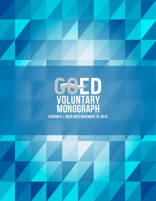



Version 5 | Issue Date November 19, 2015

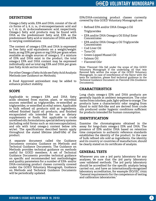# **DEFINITIONS**

Omega-3 fatty acids, EPA and DHA, consist of the all *cis* forms of 5, 8, 11, 14, 17-eicosapentaenoic acid and 4, 7, 10, 13, 16, 19-docosahexaenoic acid, respectively. Omega-3 fatty acid products may be found with DHA as the predominant fatty acid, EPA as the predominant fatty acid or mixtures of DHA and EPA in varying combinations.

The content of omega-3 EPA and DHA is expressed as free fatty acid equivalents on a weight/weight basis, as mg EPA per gram or mg DHA per gram when available as single sources of omega-3. If a mixture of EPA and DHA exist in the product, the total omega-3 EPA and DHA content may be expressed individually and as total mg EPA and DHA per gram (*see Fatty Acids section below*).

For other Omega-3 Fatty Acids see Fatty Acid Analysis Methods (*see Guidance on Methods*).

A Food Approved antioxidant may be added to enhance product stability.

## **SCOPE**

Applicable to omega-3 EPA and DHA fatty acids obtained from marine, plant, or microbial sources esterified as triglycerides, re-esterified as triglycerides, or esterified as ethyl esters. Applicable to bulk refined oil products sold as ingredients, refined finished liquid oil products, and finished encapsulated oils intended for use as dietary supplements or foods. Not applicable to crude unrefined oils, formulations, special delivery systems (including solid forms such as microencapsulation), and oils with total omega-3 content below 10% wt/wt. The specifications described herein apply throughout the stated lifetime (shelf-life) of the product.

A separate document called the Guidance Documents contains Guidance on Methods and Technical Guidance Documents. The Guidance on Methods provides technical guidance on methods useful for GOED members. A set of Technical Guidance Documents provides technical guidance on specific and recommended test methodologies and quality parameters for a number of EPA- and/or DHA-containing product classes currently covered under the GOED Voluntary Monograph. Guidance on Methods and Technical Guidance Documents will be periodically updated.

EPA/DHA-containing product classes currently covered by this GOED Voluntary Monograph are:

- Refined EPA and/or DHA Omega-3 Oil Triglycerides
- **EPA and/or DHA Omega-3 Oil Ethyl Ester Concentrates**
- **EPA and/or DHA Omega-3 Oil Triglyceride** Concentrates
- Cod Liver Oil
- ↑ Tuna Oil
- Green-Lipped Mussel Oil
- Q Salmon Oil
- $\cdot$  Flavored Oils<sup>1</sup>

Note: 1 Flavored Oils fall under the scope of this GOED Voluntary Monograph if the underlying oil that was flavored falls within the scope of the GOED Voluntary Monograph. In case of interference of the flavor with the tests for oxidation, please find technical guidance in the Technical Guidance Document on Flavored Oils (Guidance Documents).

## **CHARACTERISTICS**

Long chain omega-3 EPA and DHA products are generally liquids at ambient temperature. The color varies from colorless, pale, light-yellow to orange. The products have a characteristic odor ranging from bland to mild fish-like and are derived from crude oils produced under hygienic conditions sufficient for products intended for human consumption.

## **IDENTIFICATION**

Examine the chromatograms obtained in the assay for long-chain omega-3 EPA and DHA. The presence of EPA and/or DHA based on retention time comparison to authentic reference standards establishes the identity of the product. In the case of bulk refined oils sold as ingredients, the identity and its country or countries of manufacture, should be clearly stated on its certificate of analysis.

#### **GENERAL TESTS**

Whenever you use a 3rd party laboratory for any analyses, be sure that the 3rd party laboratory uses validated methods. The 3rd party laboratory should be accredited for the specific analysis being carried out, and have an internationally-recognized laboratory accreditation, for example ISO/IEC 17025 "General requirements for the competence of testing and calibration laboratories."